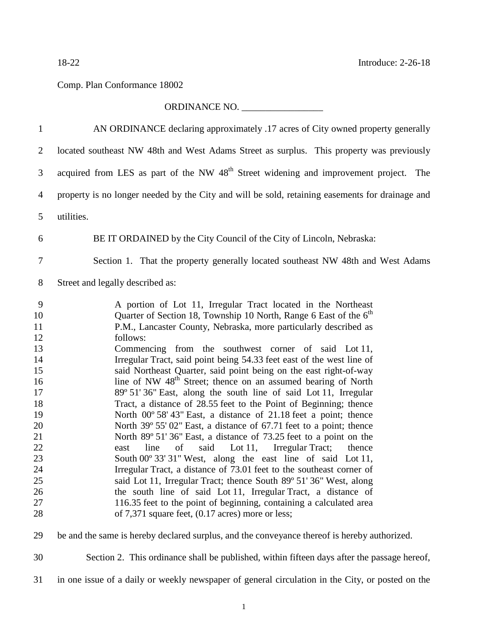## Comp. Plan Conformance 18002

## ORDINANCE NO. \_\_\_\_\_\_\_\_\_\_\_\_\_\_\_\_\_

| $\mathbf{1}$                                                                                                        | AN ORDINANCE declaring approximately .17 acres of City owned property generally                                                                                                                                                                                                                                                                                                                                                                                                                                                                                                                                                                                                                                                                                                                                                                                                                                                                                                                                                                                                                                                                                                                                                                                                                                                                                      |
|---------------------------------------------------------------------------------------------------------------------|----------------------------------------------------------------------------------------------------------------------------------------------------------------------------------------------------------------------------------------------------------------------------------------------------------------------------------------------------------------------------------------------------------------------------------------------------------------------------------------------------------------------------------------------------------------------------------------------------------------------------------------------------------------------------------------------------------------------------------------------------------------------------------------------------------------------------------------------------------------------------------------------------------------------------------------------------------------------------------------------------------------------------------------------------------------------------------------------------------------------------------------------------------------------------------------------------------------------------------------------------------------------------------------------------------------------------------------------------------------------|
| 2                                                                                                                   | located southeast NW 48th and West Adams Street as surplus. This property was previously                                                                                                                                                                                                                                                                                                                                                                                                                                                                                                                                                                                                                                                                                                                                                                                                                                                                                                                                                                                                                                                                                                                                                                                                                                                                             |
| 3                                                                                                                   | acquired from LES as part of the NW 48 <sup>th</sup> Street widening and improvement project. The                                                                                                                                                                                                                                                                                                                                                                                                                                                                                                                                                                                                                                                                                                                                                                                                                                                                                                                                                                                                                                                                                                                                                                                                                                                                    |
| $\overline{4}$                                                                                                      | property is no longer needed by the City and will be sold, retaining easements for drainage and                                                                                                                                                                                                                                                                                                                                                                                                                                                                                                                                                                                                                                                                                                                                                                                                                                                                                                                                                                                                                                                                                                                                                                                                                                                                      |
| 5                                                                                                                   | utilities.                                                                                                                                                                                                                                                                                                                                                                                                                                                                                                                                                                                                                                                                                                                                                                                                                                                                                                                                                                                                                                                                                                                                                                                                                                                                                                                                                           |
| 6                                                                                                                   | BE IT ORDAINED by the City Council of the City of Lincoln, Nebraska:                                                                                                                                                                                                                                                                                                                                                                                                                                                                                                                                                                                                                                                                                                                                                                                                                                                                                                                                                                                                                                                                                                                                                                                                                                                                                                 |
| 7                                                                                                                   | Section 1. That the property generally located southeast NW 48th and West Adams                                                                                                                                                                                                                                                                                                                                                                                                                                                                                                                                                                                                                                                                                                                                                                                                                                                                                                                                                                                                                                                                                                                                                                                                                                                                                      |
| 8                                                                                                                   | Street and legally described as:                                                                                                                                                                                                                                                                                                                                                                                                                                                                                                                                                                                                                                                                                                                                                                                                                                                                                                                                                                                                                                                                                                                                                                                                                                                                                                                                     |
| 9<br>10<br>11<br>12<br>13<br>14<br>15<br>16<br>17<br>18<br>19<br>20<br>21<br>22<br>23<br>24<br>25<br>26<br>27<br>28 | A portion of Lot 11, Irregular Tract located in the Northeast<br>Quarter of Section 18, Township 10 North, Range 6 East of the 6 <sup>th</sup><br>P.M., Lancaster County, Nebraska, more particularly described as<br>follows:<br>Commencing from the southwest corner of said Lot 11,<br>Irregular Tract, said point being 54.33 feet east of the west line of<br>said Northeast Quarter, said point being on the east right-of-way<br>line of NW 48 <sup>th</sup> Street; thence on an assumed bearing of North<br>89° 51′ 36″ East, along the south line of said Lot 11, Irregular<br>Tract, a distance of 28.55 feet to the Point of Beginning; thence<br>North 00° 58' 43" East, a distance of 21.18 feet a point; thence<br>North 39° 55′ 02″ East, a distance of 67.71 feet to a point; thence<br>North 89° 51′ 36″ East, a distance of 73.25 feet to a point on the<br>of<br>said<br>Lot 11, Irregular Tract;<br>line<br>thence<br>east<br>South 00° 33' 31" West, along the east line of said Lot 11,<br>Irregular Tract, a distance of 73.01 feet to the southeast corner of<br>said Lot 11, Irregular Tract; thence South 89° 51′ 36″ West, along<br>the south line of said Lot 11, Irregular Tract, a distance of<br>116.35 feet to the point of beginning, containing a calculated area<br>of $7,371$ square feet, $(0.17 \text{ acres})$ more or less; |
| 29                                                                                                                  | be and the same is hereby declared surplus, and the conveyance thereof is hereby authorized.                                                                                                                                                                                                                                                                                                                                                                                                                                                                                                                                                                                                                                                                                                                                                                                                                                                                                                                                                                                                                                                                                                                                                                                                                                                                         |

Section 2. This ordinance shall be published, within fifteen days after the passage hereof,

in one issue of a daily or weekly newspaper of general circulation in the City, or posted on the